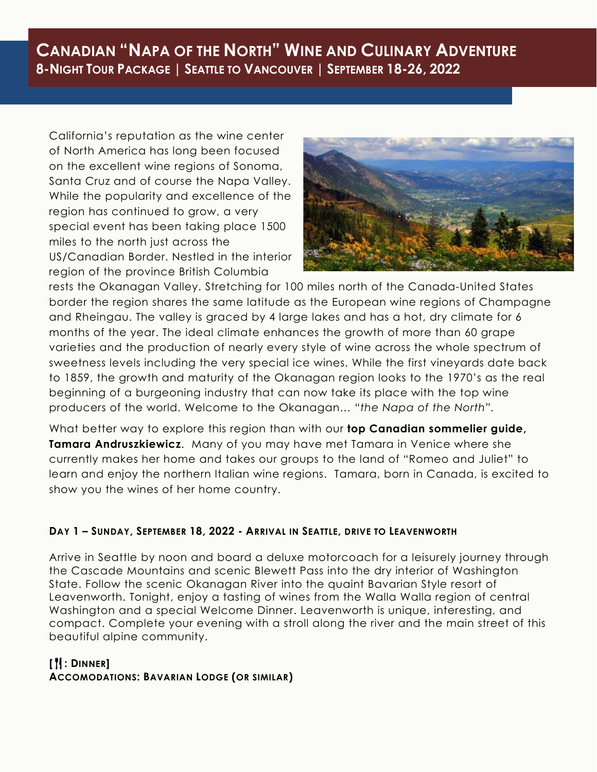California's reputation as the wine center of North America has long been focused on the excellent wine regions of Sonoma, Santa Cruz and of course the Napa Valley. While the popularity and excellence of the region has continued to grow, a very special event has been taking place 1500 miles to the north just across the US/Canadian Border. Nestled in the interior region of the province British Columbia



rests the Okanagan Valley. Stretching for 100 miles north of the Canada-United States border the region shares the same latitude as the European wine regions of Champagne and Rheingau. The valley is graced by 4 large lakes and has a hot, dry climate for 6 months of the year. The ideal climate enhances the growth of more than 60 grape varieties and the production of nearly every style of wine across the whole spectrum of sweetness levels including the very special ice wines. While the first vineyards date back to 1859, the growth and maturity of the Okanagan region looks to the 1970's as the real beginning of a burgeoning industry that can now take its place with the top wine producers of the world. Welcome to the Okanagan… *"the Napa of the North".*

What better way to explore this region than with our **top Canadian sommelier guide, Tamara Andruszkiewicz**. Many of you may have met Tamara in Venice where she currently makes her home and takes our groups to the land of "Romeo and Juliet" to learn and enjoy the northern Italian wine regions. Tamara, born in Canada, is excited to show you the wines of her home country.

## **DAY 1 – SUNDAY, SEPTEMBER 18, 2022 - ARRIVAL IN SEATTLE, DRIVE TO LEAVENWORTH**

Arrive in Seattle by noon and board a deluxe motorcoach for a leisurely journey through the Cascade Mountains and scenic Blewett Pass into the dry interior of Washington State. Follow the scenic Okanagan River into the quaint Bavarian Style resort of Leavenworth. Tonight, enjoy a tasting of wines from the Walla Walla region of central Washington and a special Welcome Dinner. Leavenworth is unique, interesting, and compact. Complete your evening with a stroll along the river and the main street of this beautiful alpine community.

## **[: DINNER]**

**ACCOMODATIONS: BAVARIAN LODGE (OR SIMILAR)**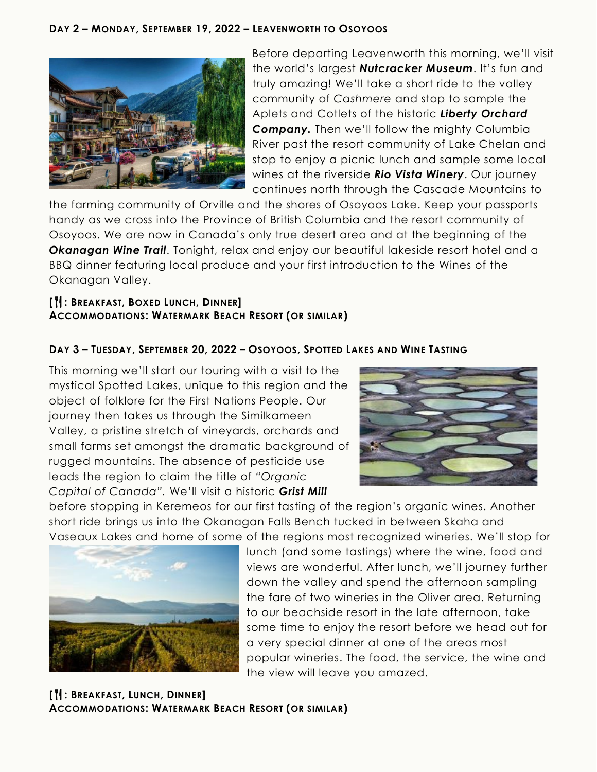#### **DAY 2 – MONDAY, SEPTEMBER 19, 2022 – LEAVENWORTH TO OSOYOOS**



Before departing Leavenworth this morning, we'll visit the world's largest *Nutcracker Museum*. It's fun and truly amazing! We'll take a short ride to the valley community of *Cashmere* and stop to sample the Aplets and Cotlets of the historic *Liberty Orchard Company.* Then we'll follow the mighty Columbia River past the resort community of Lake Chelan and stop to enjoy a picnic lunch and sample some local wines at the riverside *Rio Vista Winery*. Our journey continues north through the Cascade Mountains to

the farming community of Orville and the shores of Osoyoos Lake. Keep your passports handy as we cross into the Province of British Columbia and the resort community of Osoyoos. We are now in Canada's only true desert area and at the beginning of the *Okanagan Wine Trail*. Tonight, relax and enjoy our beautiful lakeside resort hotel and a BBQ dinner featuring local produce and your first introduction to the Wines of the Okanagan Valley.

## **[: BREAKFAST, BOXED LUNCH, DINNER] ACCOMMODATIONS: WATERMARK BEACH RESORT (OR SIMILAR)**

# **DAY 3 – TUESDAY, SEPTEMBER 20, 2022 – OSOYOOS, SPOTTED LAKES AND WINE TASTING**

This morning we'll start our touring with a visit to the mystical Spotted Lakes, unique to this region and the object of folklore for the First Nations People. Our journey then takes us through the Similkameen Valley, a pristine stretch of vineyards, orchards and small farms set amongst the dramatic background of rugged mountains. The absence of pesticide use leads the region to claim the title of *"Organic Capital of Canada".* We'll visit a historic *Grist Mill*



before stopping in Keremeos for our first tasting of the region's organic wines. Another short ride brings us into the Okanagan Falls Bench tucked in between Skaha and Vaseaux Lakes and home of some of the regions most recognized wineries. We'll stop for



lunch (and some tastings) where the wine, food and views are wonderful. After lunch, we'll journey further down the valley and spend the afternoon sampling the fare of two wineries in the Oliver area. Returning to our beachside resort in the late afternoon, take some time to enjoy the resort before we head out for a very special dinner at one of the areas most popular wineries. The food, the service, the wine and the view will leave you amazed.

## **[: BREAKFAST, LUNCH, DINNER] ACCOMMODATIONS: WATERMARK BEACH RESORT (OR SIMILAR)**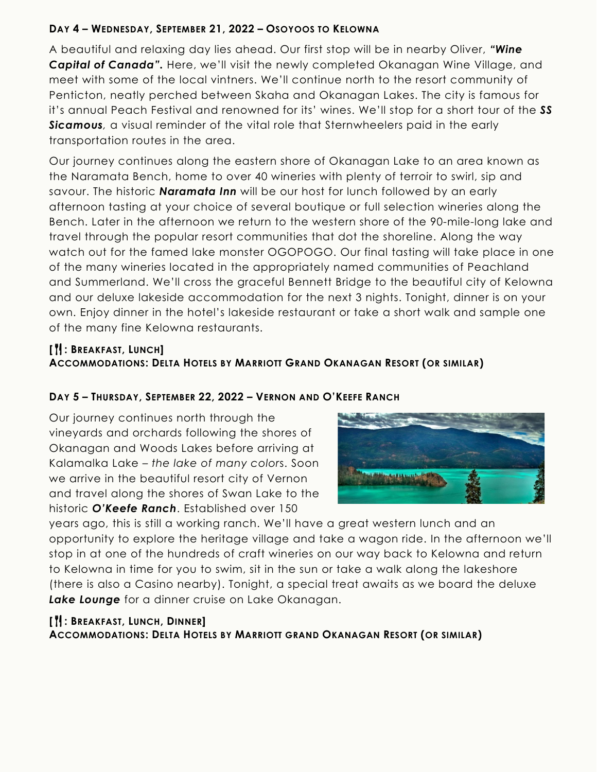# **DAY 4 – WEDNESDAY, SEPTEMBER 21, 2022 – OSOYOOS TO KELOWNA**

A beautiful and relaxing day lies ahead. Our first stop will be in nearby Oliver, *"Wine Capital of Canada".* Here, we'll visit the newly completed Okanagan Wine Village, and meet with some of the local vintners. We'll continue north to the resort community of Penticton, neatly perched between Skaha and Okanagan Lakes. The city is famous for it's annual Peach Festival and renowned for its' wines. We'll stop for a short tour of the *SS Sicamous,* a visual reminder of the vital role that Sternwheelers paid in the early transportation routes in the area.

Our journey continues along the eastern shore of Okanagan Lake to an area known as the Naramata Bench, home to over 40 wineries with plenty of terroir to swirl, sip and savour. The historic *Naramata Inn* will be our host for lunch followed by an early afternoon tasting at your choice of several boutique or full selection wineries along the Bench. Later in the afternoon we return to the western shore of the 90-mile-long lake and travel through the popular resort communities that dot the shoreline. Along the way watch out for the famed lake monster OGOPOGO. Our final tasting will take place in one of the many wineries located in the appropriately named communities of Peachland and Summerland. We'll cross the graceful Bennett Bridge to the beautiful city of Kelowna and our deluxe lakeside accommodation for the next 3 nights. Tonight, dinner is on your own. Enjoy dinner in the hotel's lakeside restaurant or take a short walk and sample one of the many fine Kelowna restaurants.

## **[: BREAKFAST, LUNCH]**

# **ACCOMMODATIONS: DELTA HOTELS BY MARRIOTT GRAND OKANAGAN RESORT (OR SIMILAR)**

## **DAY 5 – THURSDAY, SEPTEMBER 22, 2022 – VERNON AND O'KEEFE RANCH**

Our journey continues north through the vineyards and orchards following the shores of Okanagan and Woods Lakes before arriving at Kalamalka Lake – *the lake of many color*s. Soon we arrive in the beautiful resort city of Vernon and travel along the shores of Swan Lake to the historic *O'Keefe Ranch*. Established over 150



years ago, this is still a working ranch. We'll have a great western lunch and an opportunity to explore the heritage village and take a wagon ride. In the afternoon we'll stop in at one of the hundreds of craft wineries on our way back to Kelowna and return to Kelowna in time for you to swim, sit in the sun or take a walk along the lakeshore (there is also a Casino nearby). Tonight, a special treat awaits as we board the deluxe *Lake Lounge* for a dinner cruise on Lake Okanagan.

# **[: BREAKFAST, LUNCH, DINNER] ACCOMMODATIONS: DELTA HOTELS BY MARRIOTT GRAND OKANAGAN RESORT (OR SIMILAR)**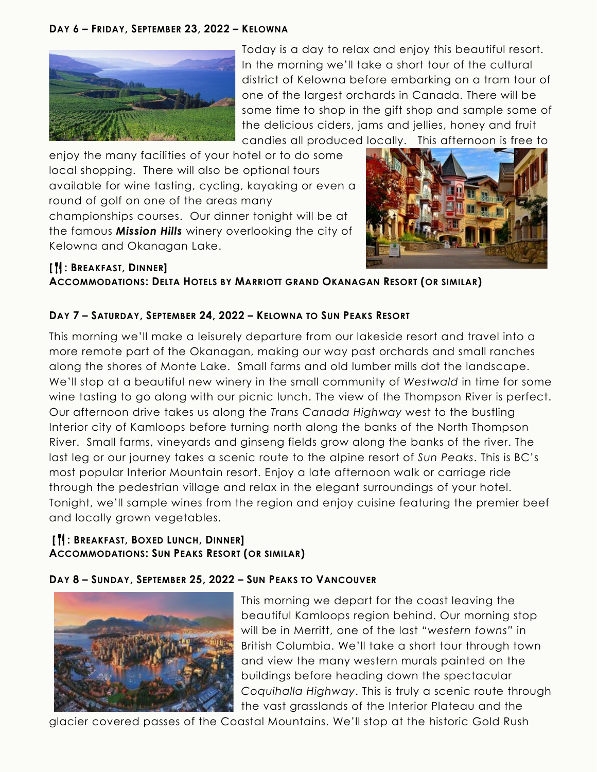#### **DAY 6 – FRIDAY, SEPTEMBER 23, 2022 – KELOWNA**



Today is a day to relax and enjoy this beautiful resort. In the morning we'll take a short tour of the cultural district of Kelowna before embarking on a tram tour of one of the largest orchards in Canada. There will be some time to shop in the gift shop and sample some of the delicious ciders, jams and jellies, honey and fruit candies all produced locally. This afternoon is free to

enjoy the many facilities of your hotel or to do some local shopping. There will also be optional tours available for wine tasting, cycling, kayaking or even a round of golf on one of the areas many championships courses. Our dinner tonight will be at the famous *Mission Hills* winery overlooking the city of Kelowna and Okanagan Lake.



# **[: BREAKFAST, DINNER] ACCOMMODATIONS: DELTA HOTELS BY MARRIOTT GRAND OKANAGAN RESORT (OR SIMILAR)**

## **DAY 7 – SATURDAY, SEPTEMBER 24, 2022 – KELOWNA TO SUN PEAKS RESORT**

This morning we'll make a leisurely departure from our lakeside resort and travel into a more remote part of the Okanagan, making our way past orchards and small ranches along the shores of Monte Lake. Small farms and old lumber mills dot the landscape. We'll stop at a beautiful new winery in the small community of *Westwald* in time for some wine tasting to go along with our picnic lunch. The view of the Thompson River is perfect. Our afternoon drive takes us along the *Trans Canada Highway* west to the bustling Interior city of Kamloops before turning north along the banks of the North Thompson River. Small farms, vineyards and ginseng fields grow along the banks of the river. The last leg or our journey takes a scenic route to the alpine resort of *Sun Peaks*. This is BC's most popular Interior Mountain resort. Enjoy a late afternoon walk or carriage ride through the pedestrian village and relax in the elegant surroundings of your hotel. Tonight, we'll sample wines from the region and enjoy cuisine featuring the premier beef and locally grown vegetables.

#### **[: BREAKFAST, BOXED LUNCH, DINNER] ACCOMMODATIONS: SUN PEAKS RESORT (OR SIMILAR)**

#### **DAY 8 – SUNDAY, SEPTEMBER 25, 2022 – SUN PEAKS TO VANCOUVER**



This morning we depart for the coast leaving the beautiful Kamloops region behind. Our morning stop will be in Merritt, one of the last *"western towns"* in British Columbia. We'll take a short tour through town and view the many western murals painted on the buildings before heading down the spectacular *Coquihalla Highway*. This is truly a scenic route through the vast grasslands of the Interior Plateau and the

glacier covered passes of the Coastal Mountains. We'll stop at the historic Gold Rush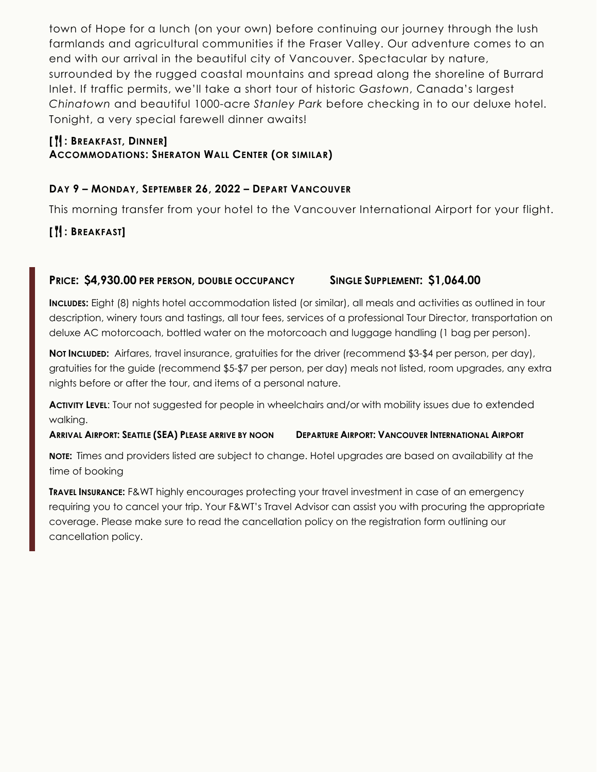town of Hope for a lunch (on your own) before continuing our journey through the lush farmlands and agricultural communities if the Fraser Valley. Our adventure comes to an end with our arrival in the beautiful city of Vancouver. Spectacular by nature, surrounded by the rugged coastal mountains and spread along the shoreline of Burrard Inlet. If traffic permits, we'll take a short tour of historic *Gastown*, Canada's largest *Chinatown* and beautiful 1000-acre *Stanley Park* before checking in to our deluxe hotel. Tonight, a very special farewell dinner awaits!

# **[: BREAKFAST, DINNER]**

#### **ACCOMMODATIONS: SHERATON WALL CENTER (OR SIMILAR)**

## **DAY 9 – MONDAY, SEPTEMBER 26, 2022 – DEPART VANCOUVER**

This morning transfer from your hotel to the Vancouver International Airport for your flight.

# **[: BREAKFAST]**

# **PRICE: \$4,930.00 PER PERSON, DOUBLE OCCUPANCY SINGLE SUPPLEMENT: \$1,064.00**

**INCLUDES:** Eight (8) nights hotel accommodation listed (or similar), all meals and activities as outlined in tour description, winery tours and tastings, all tour fees, services of a professional Tour Director, transportation on deluxe AC motorcoach, bottled water on the motorcoach and luggage handling (1 bag per person).

Not Inclubed: Airfares, travel insurance, gratuities for the driver (recommend \$3-\$4 per person, per day), gratuities for the guide (recommend \$5-\$7 per person, per day) meals not listed, room upgrades, any extra nights before or after the tour, and items of a personal nature.

**ACTIVITY LEVEL**: Tour not suggested for people in wheelchairs and/or with mobility issues due to extended walking.

**ARRIVAL AIRPORT: SEATTLE (SEA) PLEASE ARRIVE BY NOON DEPARTURE AIRPORT: VANCOUVER INTERNATIONAL AIRPORT**

**NOTE:** Times and providers listed are subject to change. Hotel upgrades are based on availability at the time of booking

**TRAVEL INSURANCE:** F&WT highly encourages protecting your travel investment in case of an emergency requiring you to cancel your trip. Your F&WT's Travel Advisor can assist you with procuring the appropriate coverage. Please make sure to read the cancellation policy on the registration form outlining our cancellation policy.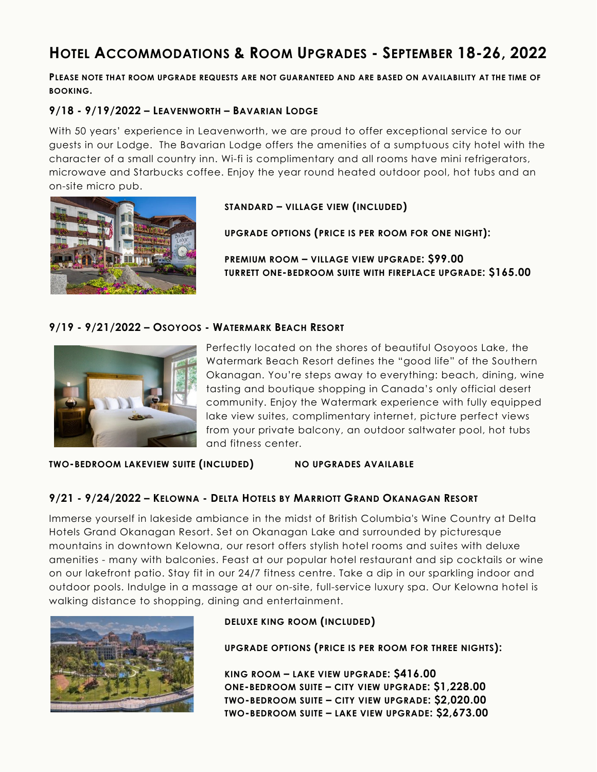# **HOTEL ACCOMMODATIONS & ROOM UPGRADES - SEPTEMBER 18-26, 2022**

**PLEASE NOTE THAT ROOM UPGRADE REQUESTS ARE NOT GUARANTEED AND ARE BASED ON AVAILABILITY AT THE TIME OF BOOKING.**

#### **9/18 - 9/19/2022 – LEAVENWORTH – BAVARIAN LODGE**

With 50 years' experience in Leavenworth, we are proud to offer exceptional service to our guests in our Lodge. The Bavarian Lodge offers the amenities of a sumptuous city hotel with the character of a small country inn. Wi-fi is complimentary and all rooms have mini refrigerators, microwave and Starbucks coffee. Enjoy the year round heated outdoor pool, hot tubs and an on-site micro pub.



#### **STANDARD – VILLAGE VIEW (INCLUDED)**

**UPGRADE OPTIONS (PRICE IS PER ROOM FOR ONE NIGHT):**

**PREMIUM ROOM – VILLAGE VIEW UPGRADE: \$99.00 TURRETT ONE-BEDROOM SUITE WITH FIREPLACE UPGRADE: \$165.00**

#### **9/19 - 9/21/2022 – OSOYOOS - WATERMARK BEACH RESORT**



Perfectly located on the shores of beautiful Osoyoos Lake, the Watermark Beach Resort defines the "good life" of the Southern Okanagan. You're steps away to everything: beach, dining, wine tasting and boutique shopping in Canada's only official desert community. Enjoy the Watermark experience with fully equipped lake view suites, complimentary internet, picture perfect views from your private balcony, an outdoor saltwater pool, hot tubs and fitness center.

**TWO-BEDROOM LAKEVIEW SUITE (INCLUDED) NO UPGRADES AVAILABLE** 

#### **9/21 - 9/24/2022 – KELOWNA - DELTA HOTELS BY MARRIOTT GRAND OKANAGAN RESORT**

Immerse yourself in lakeside ambiance in the midst of British Columbia's Wine Country at Delta Hotels Grand Okanagan Resort. Set on Okanagan Lake and surrounded by picturesque mountains in downtown Kelowna, our resort offers stylish hotel rooms and suites with deluxe amenities - many with balconies. Feast at our popular hotel restaurant and sip cocktails or wine on our lakefront patio. Stay fit in our 24/7 fitness centre. Take a dip in our sparkling indoor and outdoor pools. Indulge in a massage at our on-site, full-service luxury spa. Our Kelowna hotel is walking distance to shopping, dining and entertainment.



#### **DELUXE KING ROOM (INCLUDED)**

**UPGRADE OPTIONS (PRICE IS PER ROOM FOR THREE NIGHTS):**

**KING ROOM – LAKE VIEW UPGRADE: \$416.00 ONE-BEDROOM SUITE – CITY VIEW UPGRADE: \$1,228.00 TWO-BEDROOM SUITE – CITY VIEW UPGRADE: \$2,020.00 TWO-BEDROOM SUITE – LAKE VIEW UPGRADE: \$2,673.00**